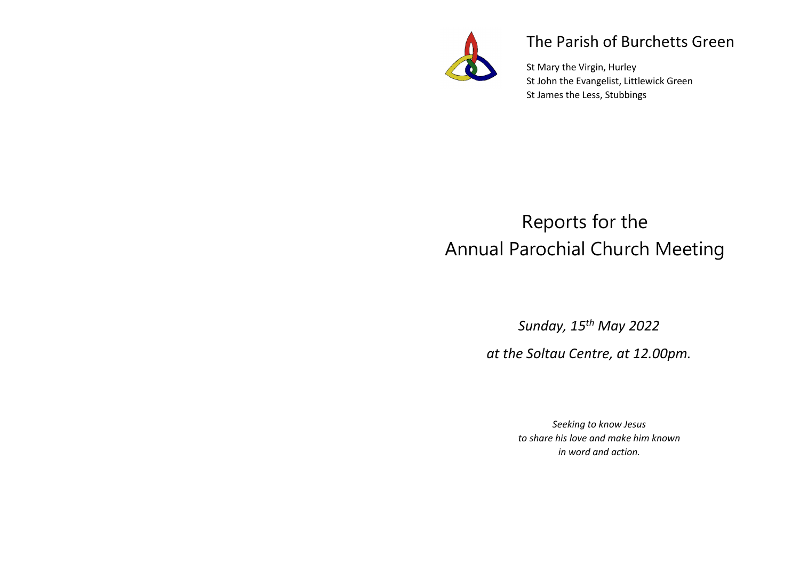

## The Parish of Burchetts Green

St Mary the Virgin, Hurley St John the Evangelist, Littlewick Green St James the Less, Stubbings

# Reports for the Annual Parochial Church Meeting

*Sunday, 15th May 2022* 

*at the Soltau Centre, at 12.00pm.* 

*Seeking to know Jesus to share his love and make him known in word and action.*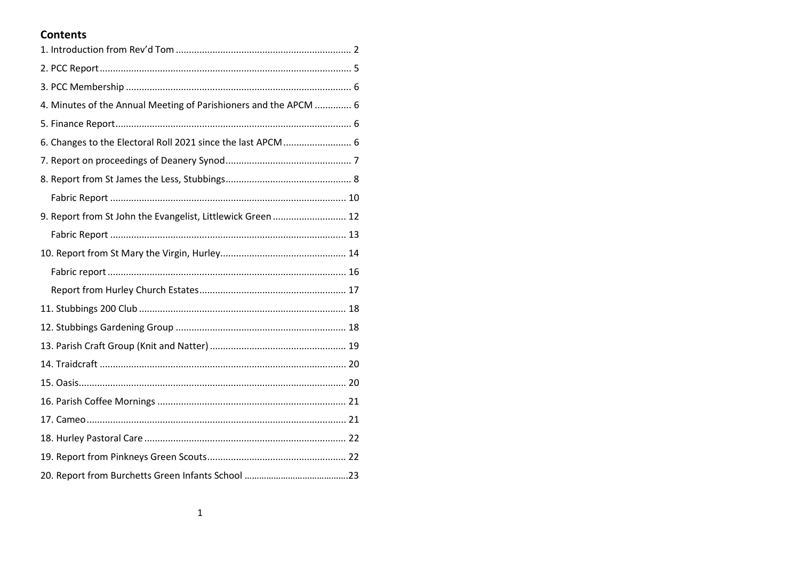## **Contents**

| 4. Minutes of the Annual Meeting of Parishioners and the APCM  6 |  |
|------------------------------------------------------------------|--|
|                                                                  |  |
| 6. Changes to the Electoral Roll 2021 since the last APCM  6     |  |
|                                                                  |  |
|                                                                  |  |
|                                                                  |  |
| 9. Report from St John the Evangelist, Littlewick Green  12      |  |
|                                                                  |  |
|                                                                  |  |
|                                                                  |  |
|                                                                  |  |
|                                                                  |  |
|                                                                  |  |
|                                                                  |  |
|                                                                  |  |
|                                                                  |  |
|                                                                  |  |
|                                                                  |  |
|                                                                  |  |
|                                                                  |  |
|                                                                  |  |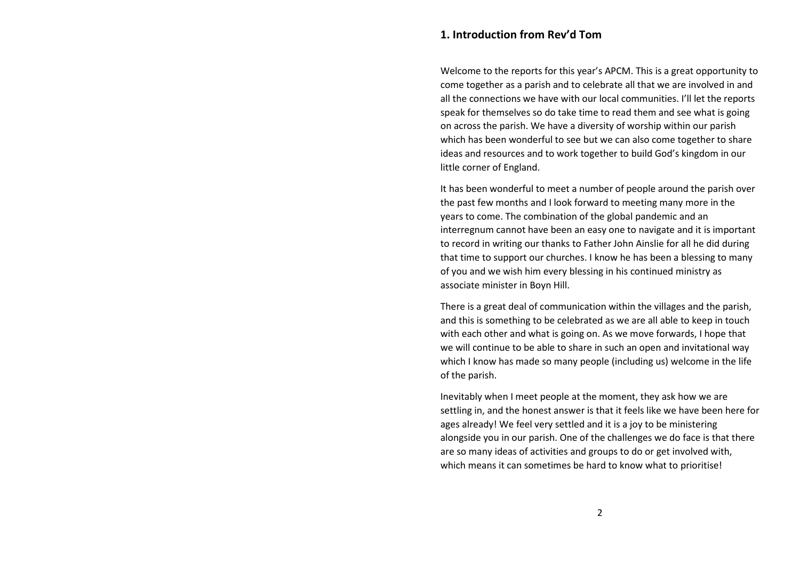## **1. Introduction from Rev'd Tom**

Welcome to the reports for this year's APCM. This is a great opportunity to come together as a parish and to celebrate all that we are involved in and all the connections we have with our local communities. I'll let the reports speak for themselves so do take time to read them and see what is going on across the parish. We have a diversity of worship within our parish which has been wonderful to see but we can also come together to share ideas and resources and to work together to build God's kingdom in our little corner of England.

It has been wonderful to meet a number of people around the parish over the past few months and I look forward to meeting many more in the years to come. The combination of the global pandemic and an interregnum cannot have been an easy one to navigate and it is important to record in writing our thanks to Father John Ainslie for all he did during that time to support our churches. I know he has been a blessing to many of you and we wish him every blessing in his continued ministry as associate minister in Boyn Hill.

There is a great deal of communication within the villages and the parish, and this is something to be celebrated as we are all able to keep in touch with each other and what is going on. As we move forwards, I hope that we will continue to be able to share in such an open and invitational way which I know has made so many people (including us) welcome in the life of the parish.

Inevitably when I meet people at the moment, they ask how we are settling in, and the honest answer is that it feels like we have been here for ages already! We feel very settled and it is a joy to be ministering alongside you in our parish. One of the challenges we do face is that there are so many ideas of activities and groups to do or get involved with, which means it can sometimes be hard to know what to prioritise!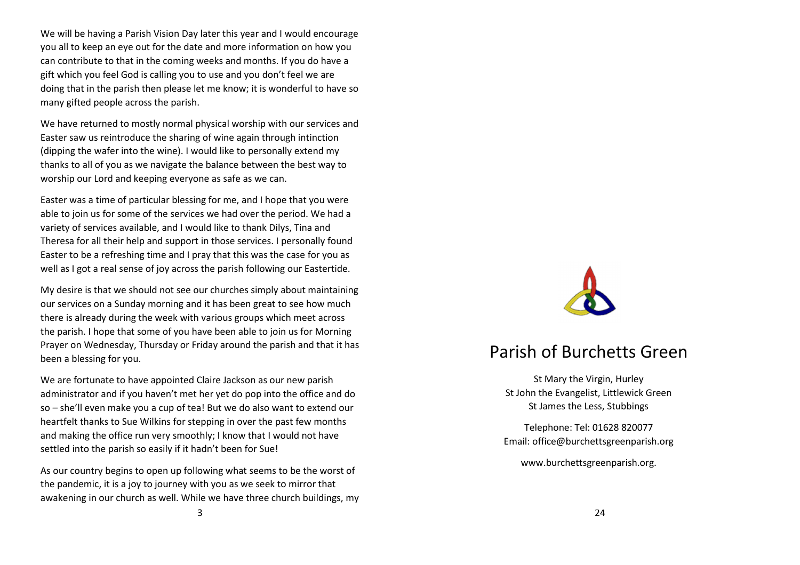We will be having a Parish Vision Day later this year and I would encourage you all to keep an eye out for the date and more information on how you can contribute to that in the coming weeks and months. If you do have a gift which you feel God is calling you to use and you don't feel we are doing that in the parish then please let me know; it is wonderful to have so many gifted people across the parish.

We have returned to mostly normal physical worship with our services and Easter saw us reintroduce the sharing of wine again through intinction (dipping the wafer into the wine). I would like to personally extend my thanks to all of you as we navigate the balance between the best way to worship our Lord and keeping everyone as safe as we can.

Easter was a time of particular blessing for me, and I hope that you were able to join us for some of the services we had over the period. We had a variety of services available, and I would like to thank Dilys, Tina and Theresa for all their help and support in those services. I personally found Easter to be a refreshing time and I pray that this was the case for you as well as I got a real sense of joy across the parish following our Eastertide.

My desire is that we should not see our churches simply about maintaining our services on a Sunday morning and it has been great to see how much there is already during the week with various groups which meet across the parish. I hope that some of you have been able to join us for Morning Prayer on Wednesday, Thursday or Friday around the parish and that it has been a blessing for you.

We are fortunate to have appointed Claire Jackson as our new parish administrator and if you haven't met her yet do pop into the office and do so – she'll even make you a cup of tea! But we do also want to extend our heartfelt thanks to Sue Wilkins for stepping in over the past few months and making the office run very smoothly; I know that I would not have settled into the parish so easily if it hadn't been for Sue!

As our country begins to open up following what seems to be the worst of the pandemic, it is a joy to journey with you as we seek to mirror that awakening in our church as well. While we have three church buildings, my



## Parish of Burchetts Green

St Mary the Virgin, Hurley St John the Evangelist, Littlewick Green St James the Less, Stubbings

Telephone: Tel: 01628 820077 Email: office@burchettsgreenparish.org

www.burchettsgreenparish.org.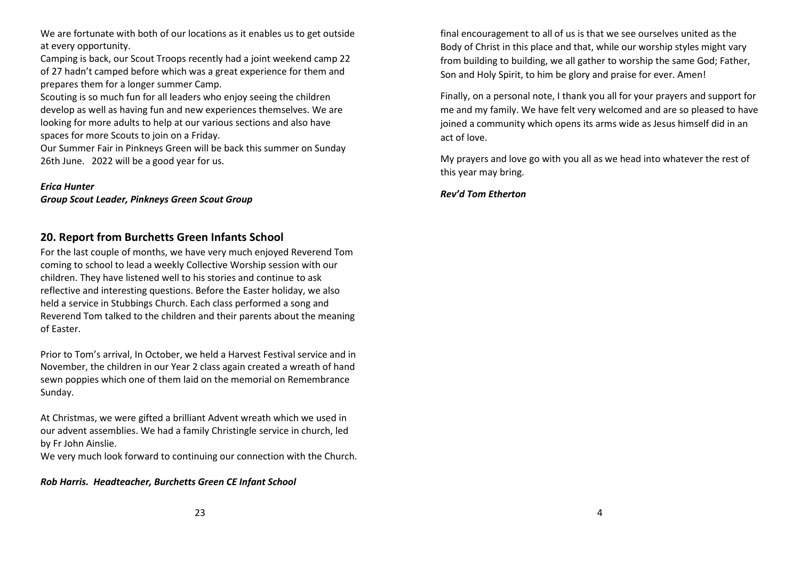We are fortunate with both of our locations as it enables us to get outside at every opportunity.

Camping is back, our Scout Troops recently had a joint weekend camp 22 of 27 hadn't camped before which was a great experience for them and prepares them for a longer summer Camp.

Scouting is so much fun for all leaders who enjoy seeing the children develop as well as having fun and new experiences themselves. We are looking for more adults to help at our various sections and also have spaces for more Scouts to join on a Friday.

Our Summer Fair in Pinkneys Green will be back this summer on Sunday 26th June. 2022 will be a good year for us.

#### *Erica Hunter*

*Group Scout Leader, Pinkneys Green Scout Group* 

## **20. Report from Burchetts Green Infants School**

For the last couple of months, we have very much enjoyed Reverend Tom coming to school to lead a weekly Collective Worship session with our children. They have listened well to his stories and continue to ask reflective and interesting questions. Before the Easter holiday, we also held a service in Stubbings Church. Each class performed a song and Reverend Tom talked to the children and their parents about the meaning of Easter.

Prior to Tom's arrival, In October, we held a Harvest Festival service and in November, the children in our Year 2 class again created a wreath of hand sewn poppies which one of them laid on the memorial on Remembrance Sunday.

At Christmas, we were gifted a brilliant Advent wreath which we used in our advent assemblies. We had a family Christingle service in church, led by Fr John Ainslie.

We very much look forward to continuing our connection with the Church.

#### *Rob Harris. Headteacher, Burchetts Green CE Infant School*

final encouragement to all of us is that we see ourselves united as the Body of Christ in this place and that, while our worship styles might vary from building to building, we all gather to worship the same God; Father, Son and Holy Spirit, to him be glory and praise for ever. Amen!

Finally, on a personal note, I thank you all for your prayers and support for me and my family. We have felt very welcomed and are so pleased to have joined a community which opens its arms wide as Jesus himself did in an act of love.

My prayers and love go with you all as we head into whatever the rest of this year may bring.

*Rev'd Tom Etherton*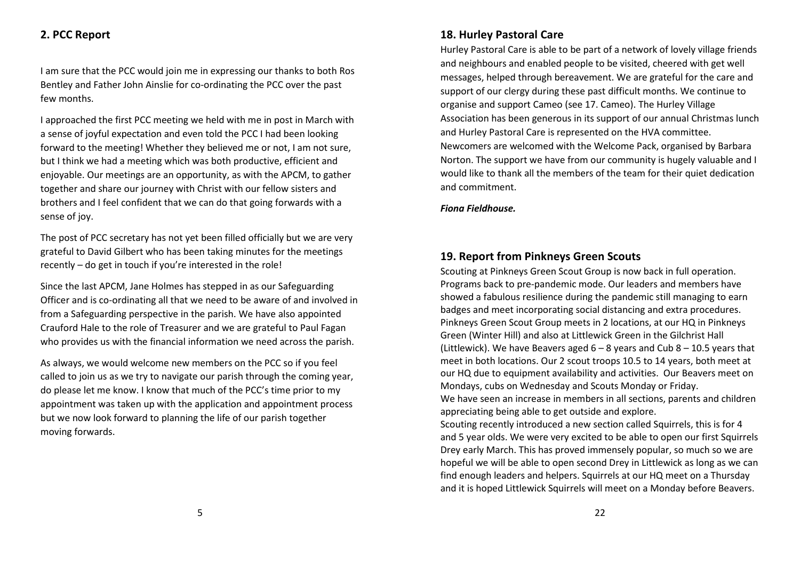## **2. PCC Report**

I am sure that the PCC would join me in expressing our thanks to both Ros Bentley and Father John Ainslie for co-ordinating the PCC over the past few months.

I approached the first PCC meeting we held with me in post in March with a sense of joyful expectation and even told the PCC I had been looking forward to the meeting! Whether they believed me or not, I am not sure, but I think we had a meeting which was both productive, efficient and enjoyable. Our meetings are an opportunity, as with the APCM, to gather together and share our journey with Christ with our fellow sisters and brothers and I feel confident that we can do that going forwards with a sense of joy.

The post of PCC secretary has not yet been filled officially but we are very grateful to David Gilbert who has been taking minutes for the meetings recently – do get in touch if you're interested in the role!

Since the last APCM, Jane Holmes has stepped in as our Safeguarding Officer and is co-ordinating all that we need to be aware of and involved in from a Safeguarding perspective in the parish. We have also appointed Crauford Hale to the role of Treasurer and we are grateful to Paul Fagan who provides us with the financial information we need across the parish.

As always, we would welcome new members on the PCC so if you feel called to join us as we try to navigate our parish through the coming year, do please let me know. I know that much of the PCC's time prior to my appointment was taken up with the application and appointment process but we now look forward to planning the life of our parish together moving forwards.

## **18. Hurley Pastoral Care**

Hurley Pastoral Care is able to be part of a network of lovely village friends and neighbours and enabled people to be visited, cheered with get well messages, helped through bereavement. We are grateful for the care and support of our clergy during these past difficult months. We continue to organise and support Cameo (see 17. Cameo). The Hurley Village Association has been generous in its support of our annual Christmas lunch and Hurley Pastoral Care is represented on the HVA committee. Newcomers are welcomed with the Welcome Pack, organised by Barbara Norton. The support we have from our community is hugely valuable and I would like to thank all the members of the team for their quiet dedication and commitment.

*Fiona Fieldhouse.* 

## **19. Report from Pinkneys Green Scouts**

Scouting at Pinkneys Green Scout Group is now back in full operation. Programs back to pre-pandemic mode. Our leaders and members have showed a fabulous resilience during the pandemic still managing to earn badges and meet incorporating social distancing and extra procedures. Pinkneys Green Scout Group meets in 2 locations, at our HQ in Pinkneys Green (Winter Hill) and also at Littlewick Green in the Gilchrist Hall (Littlewick). We have Beavers aged  $6 - 8$  years and Cub  $8 - 10.5$  years that meet in both locations. Our 2 scout troops 10.5 to 14 years, both meet at our HQ due to equipment availability and activities. Our Beavers meet on Mondays, cubs on Wednesday and Scouts Monday or Friday. We have seen an increase in members in all sections, parents and children appreciating being able to get outside and explore.

Scouting recently introduced a new section called Squirrels, this is for 4 and 5 year olds. We were very excited to be able to open our first Squirrels Drey early March. This has proved immensely popular, so much so we are hopeful we will be able to open second Drey in Littlewick as long as we can find enough leaders and helpers. Squirrels at our HQ meet on a Thursday and it is hoped Littlewick Squirrels will meet on a Monday before Beavers.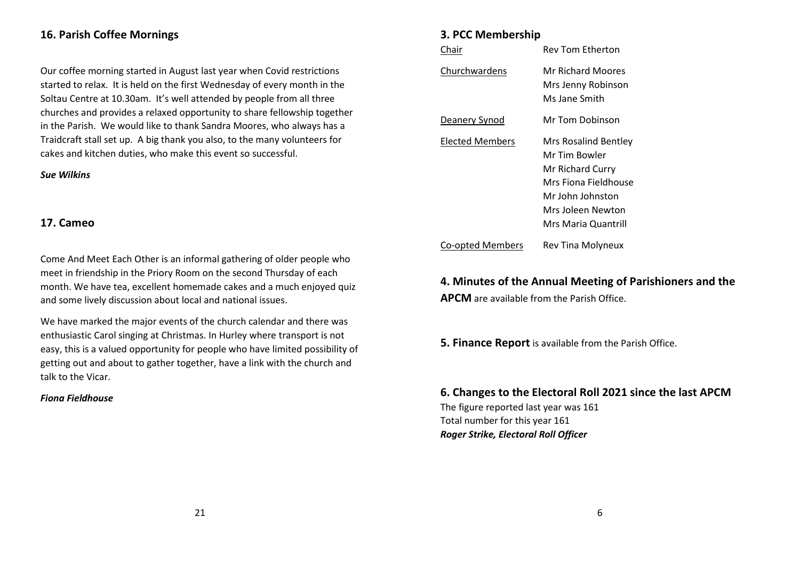## **16. Parish Coffee Mornings**

Our coffee morning started in August last year when Covid restrictions started to relax. It is held on the first Wednesday of every month in the Soltau Centre at 10.30am. It's well attended by people from all three churches and provides a relaxed opportunity to share fellowship together in the Parish. We would like to thank Sandra Moores, who always has a Traidcraft stall set up. A big thank you also, to the many volunteers for cakes and kitchen duties, who make this event so successful.

#### *Sue Wilkins*

## **17. Cameo**

Come And Meet Each Other is an informal gathering of older people who meet in friendship in the Priory Room on the second Thursday of each month. We have tea, excellent homemade cakes and a much enjoyed quiz and some lively discussion about local and national issues.

We have marked the major events of the church calendar and there was enthusiastic Carol singing at Christmas. In Hurley where transport is not easy, this is a valued opportunity for people who have limited possibility of getting out and about to gather together, have a link with the church and talk to the Vicar.

#### *Fiona Fieldhouse*

## **3. PCC Membership**

| Chair            | Rev Tom Etherton                                                                                                                                  |
|------------------|---------------------------------------------------------------------------------------------------------------------------------------------------|
| Churchwardens    | <b>Mr Richard Moores</b><br>Mrs Jenny Robinson<br>Ms Jane Smith                                                                                   |
| Deanery Synod    | Mr Tom Dobinson                                                                                                                                   |
| Elected Members  | Mrs Rosalind Bentley<br>Mr Tim Bowler<br>Mr Richard Curry<br>Mrs Fiona Fieldhouse<br>Mr John Johnston<br>Mrs Joleen Newton<br>Mrs Maria Quantrill |
| Co-opted Members | Rev Tina Molyneux                                                                                                                                 |

**4. Minutes of the Annual Meeting of Parishioners and the APCM** are available from the Parish Office.

**5. Finance Report** is available from the Parish Office.

**6. Changes to the Electoral Roll 2021 since the last APCM** 

The figure reported last year was 161 Total number for this year 161 *Roger Strike, Electoral Roll Officer*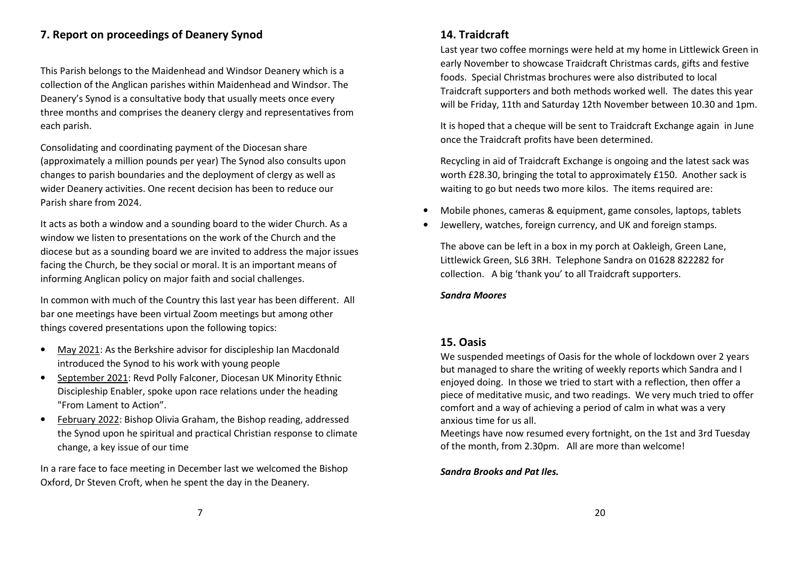## **7. Report on proceedings of Deanery Synod**

This Parish belongs to the Maidenhead and Windsor Deanery which is a collection of the Anglican parishes within Maidenhead and Windsor. The Deanery's Synod is a consultative body that usually meets once every three months and comprises the deanery clergy and representatives from each parish.

Consolidating and coordinating payment of the Diocesan share (approximately a million pounds per year) The Synod also consults upon changes to parish boundaries and the deployment of clergy as well as wider Deanery activities. One recent decision has been to reduce our Parish share from 2024.

It acts as both a window and a sounding board to the wider Church. As a window we listen to presentations on the work of the Church and the diocese but as a sounding board we are invited to address the major issues facing the Church, be they social or moral. It is an important means of informing Anglican policy on major faith and social challenges.

In common with much of the Country this last year has been different. All bar one meetings have been virtual Zoom meetings but among other things covered presentations upon the following topics:

- • May 2021: As the Berkshire advisor for discipleship Ian Macdonald introduced the Synod to his work with young people
- • September 2021: Revd Polly Falconer, Diocesan UK Minority Ethnic Discipleship Enabler, spoke upon race relations under the heading "From Lament to Action".
- • February 2022: Bishop Olivia Graham, the Bishop reading, addressed the Synod upon he spiritual and practical Christian response to climate change, a key issue of our time

In a rare face to face meeting in December last we welcomed the Bishop Oxford, Dr Steven Croft, when he spent the day in the Deanery.

## **14. Traidcraft**

Last year two coffee mornings were held at my home in Littlewick Green in early November to showcase Traidcraft Christmas cards, gifts and festive foods. Special Christmas brochures were also distributed to local Traidcraft supporters and both methods worked well. The dates this year will be Friday, 11th and Saturday 12th November between 10.30 and 1pm.

It is hoped that a cheque will be sent to Traidcraft Exchange again in June once the Traidcraft profits have been determined.

Recycling in aid of Traidcraft Exchange is ongoing and the latest sack was worth £28.30, bringing the total to approximately £150. Another sack is waiting to go but needs two more kilos. The items required are:

- •Mobile phones, cameras & equipment, game consoles, laptops, tablets
- •Jewellery, watches, foreign currency, and UK and foreign stamps.

The above can be left in a box in my porch at Oakleigh, Green Lane, Littlewick Green, SL6 3RH. Telephone Sandra on 01628 822282 for collection. A big 'thank you' to all Traidcraft supporters.

#### *Sandra Moores*

## **15. Oasis**

We suspended meetings of Oasis for the whole of lockdown over 2 years but managed to share the writing of weekly reports which Sandra and I enjoyed doing. In those we tried to start with a reflection, then offer a piece of meditative music, and two readings. We very much tried to offer comfort and a way of achieving a period of calm in what was a very anxious time for us all.

Meetings have now resumed every fortnight, on the 1st and 3rd Tuesday of the month, from 2.30pm. All are more than welcome!

#### *Sandra Brooks and Pat Iles.*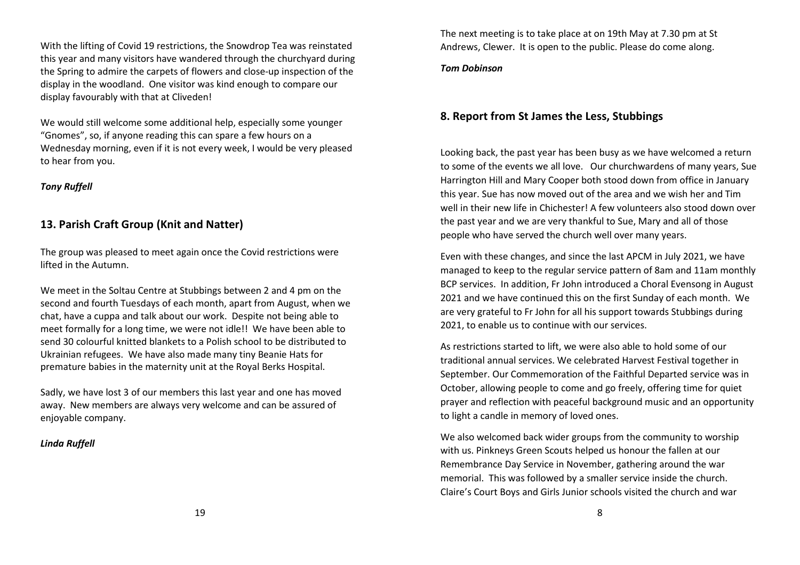With the lifting of Covid 19 restrictions, the Snowdrop Tea was reinstated this year and many visitors have wandered through the churchyard during the Spring to admire the carpets of flowers and close-up inspection of the display in the woodland. One visitor was kind enough to compare our display favourably with that at Cliveden!

We would still welcome some additional help, especially some younger "Gnomes", so, if anyone reading this can spare a few hours on a Wednesday morning, even if it is not every week, I would be very pleased to hear from you.

#### *Tony Ruffell*

## **13. Parish Craft Group (Knit and Natter)**

The group was pleased to meet again once the Covid restrictions were lifted in the Autumn.

We meet in the Soltau Centre at Stubbings between 2 and 4 pm on the second and fourth Tuesdays of each month, apart from August, when we chat, have a cuppa and talk about our work. Despite not being able to meet formally for a long time, we were not idle!! We have been able to send 30 colourful knitted blankets to a Polish school to be distributed to Ukrainian refugees. We have also made many tiny Beanie Hats for premature babies in the maternity unit at the Royal Berks Hospital.

Sadly, we have lost 3 of our members this last year and one has moved away. New members are always very welcome and can be assured of enjoyable company.

#### *Linda Ruffell*

The next meeting is to take place at on 19th May at 7.30 pm at St Andrews, Clewer. It is open to the public. Please do come along.

#### *Tom Dobinson*

## **8. Report from St James the Less, Stubbings**

Looking back, the past year has been busy as we have welcomed a return to some of the events we all love. Our churchwardens of many years, Sue Harrington Hill and Mary Cooper both stood down from office in January this year. Sue has now moved out of the area and we wish her and Tim well in their new life in Chichester! A few volunteers also stood down over the past year and we are very thankful to Sue, Mary and all of those people who have served the church well over many years.

Even with these changes, and since the last APCM in July 2021, we have managed to keep to the regular service pattern of 8am and 11am monthly BCP services. In addition, Fr John introduced a Choral Evensong in August 2021 and we have continued this on the first Sunday of each month. We are very grateful to Fr John for all his support towards Stubbings during 2021, to enable us to continue with our services.

As restrictions started to lift, we were also able to hold some of our traditional annual services. We celebrated Harvest Festival together in September. Our Commemoration of the Faithful Departed service was in October, allowing people to come and go freely, offering time for quiet prayer and reflection with peaceful background music and an opportunity to light a candle in memory of loved ones.

We also welcomed back wider groups from the community to worship with us. Pinkneys Green Scouts helped us honour the fallen at our Remembrance Day Service in November, gathering around the war memorial. This was followed by a smaller service inside the church. Claire's Court Boys and Girls Junior schools visited the church and war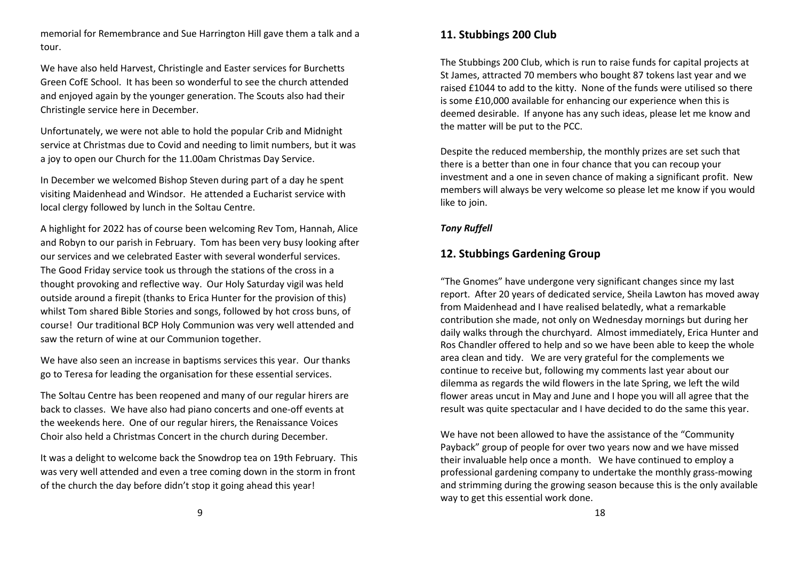memorial for Remembrance and Sue Harrington Hill gave them a talk and a tour.

We have also held Harvest, Christingle and Easter services for Burchetts Green CofE School. It has been so wonderful to see the church attended and enjoyed again by the younger generation. The Scouts also had their Christingle service here in December.

Unfortunately, we were not able to hold the popular Crib and Midnight service at Christmas due to Covid and needing to limit numbers, but it was a joy to open our Church for the 11.00am Christmas Day Service.

In December we welcomed Bishop Steven during part of a day he spent visiting Maidenhead and Windsor. He attended a Eucharist service with local clergy followed by lunch in the Soltau Centre.

A highlight for 2022 has of course been welcoming Rev Tom, Hannah, Alice and Robyn to our parish in February. Tom has been very busy looking after our services and we celebrated Easter with several wonderful services. The Good Friday service took us through the stations of the cross in a thought provoking and reflective way. Our Holy Saturday vigil was held outside around a firepit (thanks to Erica Hunter for the provision of this) whilst Tom shared Bible Stories and songs, followed by hot cross buns, of course! Our traditional BCP Holy Communion was very well attended and saw the return of wine at our Communion together.

We have also seen an increase in baptisms services this year. Our thanks go to Teresa for leading the organisation for these essential services.

The Soltau Centre has been reopened and many of our regular hirers are back to classes. We have also had piano concerts and one-off events at the weekends here. One of our regular hirers, the Renaissance Voices Choir also held a Christmas Concert in the church during December.

It was a delight to welcome back the Snowdrop tea on 19th February. This was very well attended and even a tree coming down in the storm in front of the church the day before didn't stop it going ahead this year!

## **11. Stubbings 200 Club**

The Stubbings 200 Club, which is run to raise funds for capital projects at St James, attracted 70 members who bought 87 tokens last year and we raised £1044 to add to the kitty. None of the funds were utilised so there is some £10,000 available for enhancing our experience when this is deemed desirable. If anyone has any such ideas, please let me know and the matter will be put to the PCC.

Despite the reduced membership, the monthly prizes are set such that there is a better than one in four chance that you can recoup your investment and a one in seven chance of making a significant profit. New members will always be very welcome so please let me know if you would like to join.

## *Tony Ruffell*

## **12. Stubbings Gardening Group**

"The Gnomes" have undergone very significant changes since my last report. After 20 years of dedicated service, Sheila Lawton has moved away from Maidenhead and I have realised belatedly, what a remarkable contribution she made, not only on Wednesday mornings but during her daily walks through the churchyard. Almost immediately, Erica Hunter and Ros Chandler offered to help and so we have been able to keep the whole area clean and tidy. We are very grateful for the complements we continue to receive but, following my comments last year about our dilemma as regards the wild flowers in the late Spring, we left the wild flower areas uncut in May and June and I hope you will all agree that the result was quite spectacular and I have decided to do the same this year.

We have not been allowed to have the assistance of the "Community Payback" group of people for over two years now and we have missed their invaluable help once a month. We have continued to employ a professional gardening company to undertake the monthly grass-mowing and strimming during the growing season because this is the only available way to get this essential work done.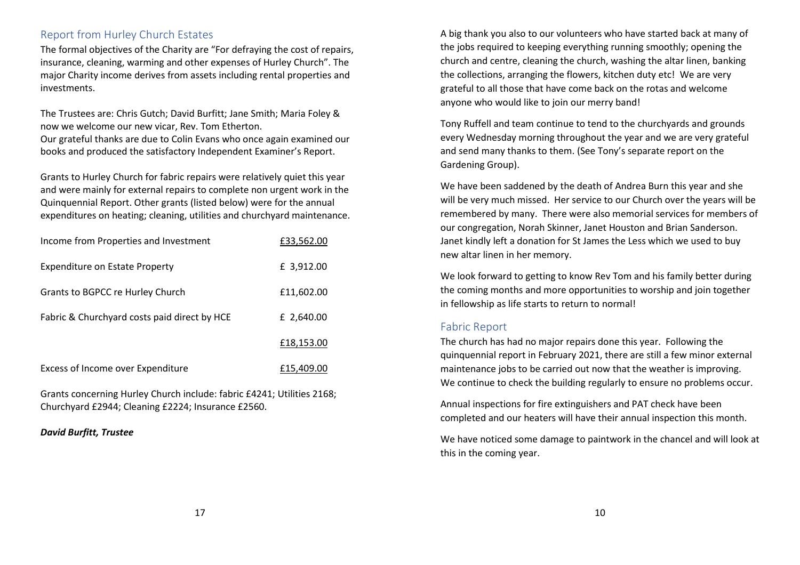## Report from Hurley Church Estates

The formal objectives of the Charity are "For defraying the cost of repairs, insurance, cleaning, warming and other expenses of Hurley Church". The major Charity income derives from assets including rental properties and investments.

The Trustees are: Chris Gutch; David Burfitt; Jane Smith; Maria Foley & now we welcome our new vicar, Rev. Tom Etherton.

Our grateful thanks are due to Colin Evans who once again examined our books and produced the satisfactory Independent Examiner's Report.

Grants to Hurley Church for fabric repairs were relatively quiet this year and were mainly for external repairs to complete non urgent work in the Quinquennial Report. Other grants (listed below) were for the annual expenditures on heating; cleaning, utilities and churchyard maintenance.

| Income from Properties and Investment        | £33,562.00 |
|----------------------------------------------|------------|
| <b>Expenditure on Estate Property</b>        | £ 3,912.00 |
| Grants to BGPCC re Hurley Church             | £11,602.00 |
| Fabric & Churchyard costs paid direct by HCE | £ 2,640.00 |
|                                              | £18,153.00 |
| Excess of Income over Expenditure            | £15,409.00 |

Grants concerning Hurley Church include: fabric £4241; Utilities 2168; Churchyard £2944; Cleaning £2224; Insurance £2560.

*David Burfitt, Trustee* 

A big thank you also to our volunteers who have started back at many of the jobs required to keeping everything running smoothly; opening the church and centre, cleaning the church, washing the altar linen, banking the collections, arranging the flowers, kitchen duty etc! We are very grateful to all those that have come back on the rotas and welcome anyone who would like to join our merry band!

Tony Ruffell and team continue to tend to the churchyards and grounds every Wednesday morning throughout the year and we are very grateful and send many thanks to them. (See Tony's separate report on the Gardening Group).

We have been saddened by the death of Andrea Burn this year and she will be very much missed. Her service to our Church over the years will be remembered by many. There were also memorial services for members of our congregation, Norah Skinner, Janet Houston and Brian Sanderson. Janet kindly left a donation for St James the Less which we used to buy new altar linen in her memory.

We look forward to getting to know Rev Tom and his family better during the coming months and more opportunities to worship and join together in fellowship as life starts to return to normal!

## Fabric Report

The church has had no major repairs done this year. Following the quinquennial report in February 2021, there are still a few minor external maintenance jobs to be carried out now that the weather is improving. We continue to check the building regularly to ensure no problems occur.

Annual inspections for fire extinguishers and PAT check have been completed and our heaters will have their annual inspection this month.

We have noticed some damage to paintwork in the chancel and will look at this in the coming year.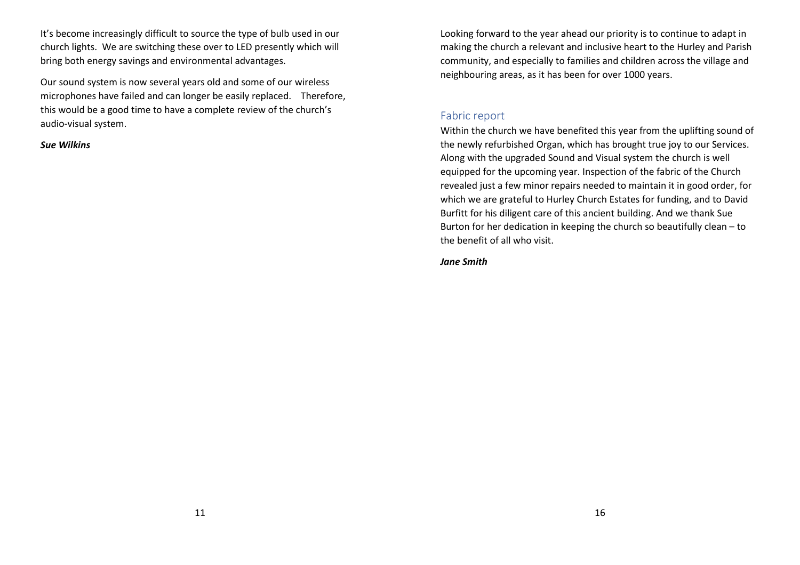It's become increasingly difficult to source the type of bulb used in our church lights. We are switching these over to LED presently which will bring both energy savings and environmental advantages.

Our sound system is now several years old and some of our wireless microphones have failed and can longer be easily replaced. Therefore, this would be a good time to have a complete review of the church's audio-visual system.

*Sue Wilkins* 

Looking forward to the year ahead our priority is to continue to adapt in making the church a relevant and inclusive heart to the Hurley and Parish community, and especially to families and children across the village and neighbouring areas, as it has been for over 1000 years.

## Fabric report

Within the church we have benefited this year from the uplifting sound of the newly refurbished Organ, which has brought true joy to our Services. Along with the upgraded Sound and Visual system the church is well equipped for the upcoming year. Inspection of the fabric of the Church revealed just a few minor repairs needed to maintain it in good order, for which we are grateful to Hurley Church Estates for funding, and to David Burfitt for his diligent care of this ancient building. And we thank Sue Burton for her dedication in keeping the church so beautifully clean – to the benefit of all who visit.

*Jane Smith*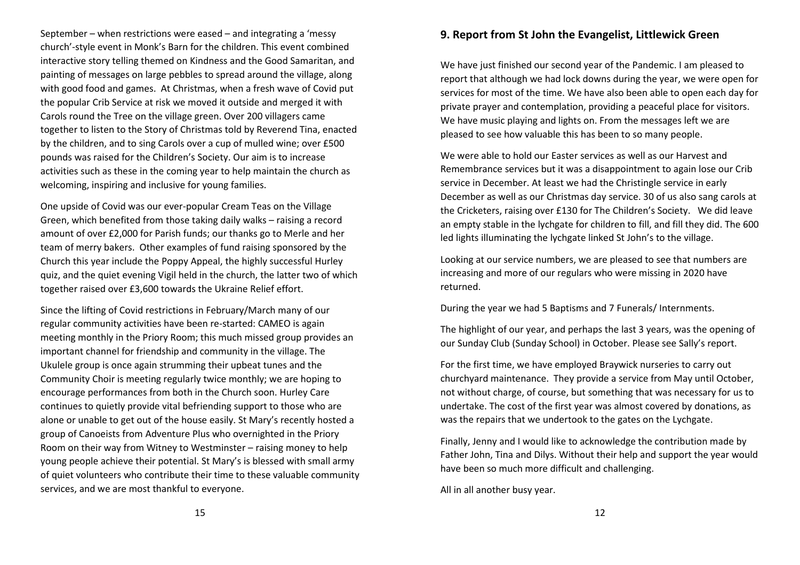September – when restrictions were eased – and integrating a 'messy church'-style event in Monk's Barn for the children. This event combined interactive story telling themed on Kindness and the Good Samaritan, and painting of messages on large pebbles to spread around the village, along with good food and games. At Christmas, when a fresh wave of Covid put the popular Crib Service at risk we moved it outside and merged it with Carols round the Tree on the village green. Over 200 villagers came together to listen to the Story of Christmas told by Reverend Tina, enacted by the children, and to sing Carols over a cup of mulled wine; over £500 pounds was raised for the Children's Society. Our aim is to increase activities such as these in the coming year to help maintain the church as welcoming, inspiring and inclusive for young families.

One upside of Covid was our ever-popular Cream Teas on the Village Green, which benefited from those taking daily walks – raising a record amount of over £2,000 for Parish funds; our thanks go to Merle and her team of merry bakers. Other examples of fund raising sponsored by the Church this year include the Poppy Appeal, the highly successful Hurley quiz, and the quiet evening Vigil held in the church, the latter two of which together raised over £3,600 towards the Ukraine Relief effort.

Since the lifting of Covid restrictions in February/March many of our regular community activities have been re-started: CAMEO is again meeting monthly in the Priory Room; this much missed group provides an important channel for friendship and community in the village. The Ukulele group is once again strumming their upbeat tunes and the Community Choir is meeting regularly twice monthly; we are hoping to encourage performances from both in the Church soon. Hurley Care continues to quietly provide vital befriending support to those who are alone or unable to get out of the house easily. St Mary's recently hosted a group of Canoeists from Adventure Plus who overnighted in the Priory Room on their way from Witney to Westminster – raising money to help young people achieve their potential. St Mary's is blessed with small army of quiet volunteers who contribute their time to these valuable community services, and we are most thankful to everyone.

## **9. Report from St John the Evangelist, Littlewick Green**

We have just finished our second year of the Pandemic. I am pleased to report that although we had lock downs during the year, we were open for services for most of the time. We have also been able to open each day for private prayer and contemplation, providing a peaceful place for visitors. We have music playing and lights on. From the messages left we are pleased to see how valuable this has been to so many people.

We were able to hold our Easter services as well as our Harvest and Remembrance services but it was a disappointment to again lose our Crib service in December. At least we had the Christingle service in early December as well as our Christmas day service. 30 of us also sang carols at the Cricketers, raising over £130 for The Children's Society. We did leave an empty stable in the lychgate for children to fill, and fill they did. The 600 led lights illuminating the lychgate linked St John's to the village.

Looking at our service numbers, we are pleased to see that numbers are increasing and more of our regulars who were missing in 2020 have returned.

During the year we had 5 Baptisms and 7 Funerals/ Internments.

The highlight of our year, and perhaps the last 3 years, was the opening of our Sunday Club (Sunday School) in October. Please see Sally's report.

For the first time, we have employed Braywick nurseries to carry out churchyard maintenance. They provide a service from May until October, not without charge, of course, but something that was necessary for us to undertake. The cost of the first year was almost covered by donations, as was the repairs that we undertook to the gates on the Lychgate.

Finally, Jenny and I would like to acknowledge the contribution made by Father John, Tina and Dilys. Without their help and support the year would have been so much more difficult and challenging.

All in all another busy year.